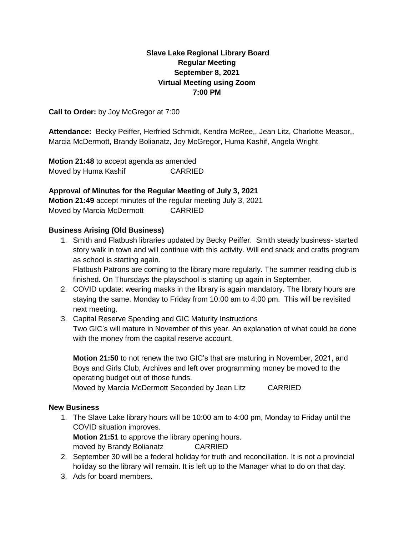## **Slave Lake Regional Library Board Regular Meeting September 8, 2021 Virtual Meeting using Zoom 7:00 PM**

**Call to Order:** by Joy McGregor at 7:00

**Attendance:** Becky Peiffer, Herfried Schmidt, Kendra McRee,, Jean Litz, Charlotte Measor,, Marcia McDermott, Brandy Bolianatz, Joy McGregor, Huma Kashif, Angela Wright

**Motion 21:48** to accept agenda as amended Moved by Huma Kashif CARRIED

# **Approval of Minutes for the Regular Meeting of July 3, 2021**

**Motion 21:49** accept minutes of the regular meeting July 3, 2021 Moved by Marcia McDermott CARRIED

### **Business Arising (Old Business)**

1. Smith and Flatbush libraries updated by Becky Peiffer. Smith steady business- started story walk in town and will continue with this activity. Will end snack and crafts program as school is starting again.

Flatbush Patrons are coming to the library more regularly. The summer reading club is finished. On Thursdays the playschool is starting up again in September.

- 2. COVID update: wearing masks in the library is again mandatory. The library hours are staying the same. Monday to Friday from 10:00 am to 4:00 pm. This will be revisited next meeting.
- 3. Capital Reserve Spending and GIC Maturity Instructions Two GIC's will mature in November of this year. An explanation of what could be done with the money from the capital reserve account.

**Motion 21:50** to not renew the two GIC's that are maturing in November, 2021, and Boys and Girls Club, Archives and left over programming money be moved to the operating budget out of those funds.

Moved by Marcia McDermott Seconded by Jean Litz CARRIED

### **New Business**

1. The Slave Lake library hours will be 10:00 am to 4:00 pm, Monday to Friday until the COVID situation improves.

**Motion 21:51** to approve the library opening hours.

moved by Brandy Bolianatz CARRIED

- 2. September 30 will be a federal holiday for truth and reconciliation. It is not a provincial holiday so the library will remain. It is left up to the Manager what to do on that day.
- 3. Ads for board members.